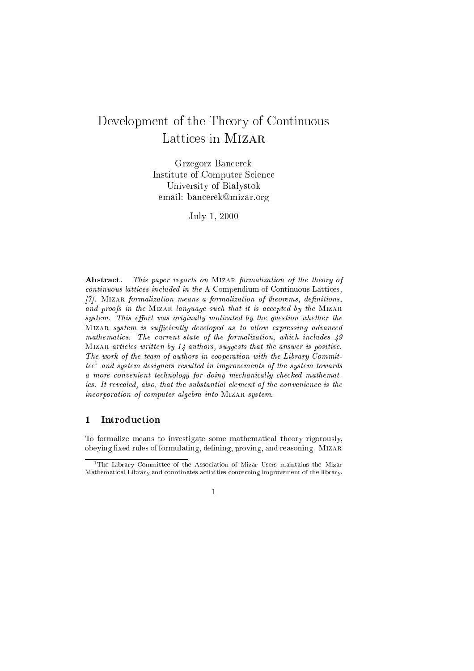# Development of the Theory of Continuous Latti
es in Mizar

 $C = C \cdot A$ Institute of Computer S
ien
e University of Bia lystochromatic control of Bia lystochromatic control of Bia lystochromatic control of Bia ly email: ban
erekmizar.org

 $J \sim 1$ ,  $J \sim 1$ 

Abstract. This paper reports on MIZAR formalization of the theory of continuous lattices included in the A Compendium of Continuous Lattices, [ $7$ ]. MIZAR formalization means a formalization of theorems, definitions, and proofs in the MIZAR language such that it is accepted by the MIZAR system. This effort was originally motivated by the question whether the MIZAR system is sufficiently developed as to allow expressing advanced mathematics. The current state of the formalization, which includes 49 MIZAR articles written by 14 authors, suggests that the answer is positive. The work of the team of authors in cooperation with the Library Committee <sup>1</sup> and system designers resulted in improvements of the system towards a more convenient technology for doing mechanically checked mathematics. It revealed, also, that the substantial element of the convenience is the incorporation of computer algebra into MIZAR system.

#### 1**Introduction**

To formalize means to investigate some mathemati
al theory rigorously, obeying fixed rules of formulating, defining, proving, and reasoning. MIZAR

<sup>&</sup>lt;sup>1</sup>The Library Committee of the Association of Mizar Users maintains the Mizar Mathemati
al Library and oordinates a
tivities on
erning improvement of the library.

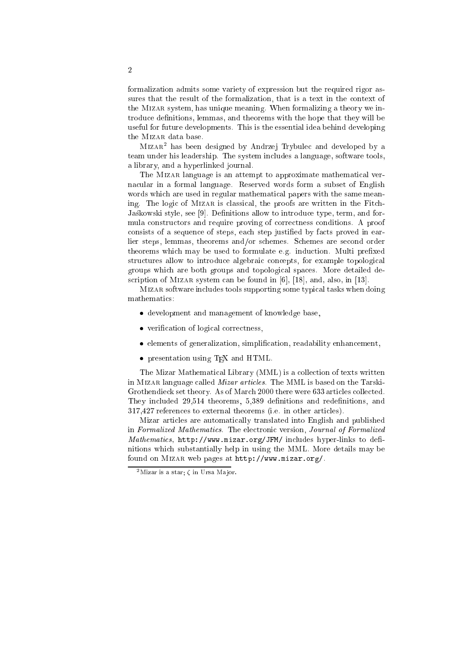formalization admits some variety of expression but the required rigor assures that the result of the formalization, that is a text in the context of the Mizar system, has unique meaning. When formalizing a theory we introduce definitions, lemmas, and theorems with the hope that they will be useful for future developments. This is the essential idea behind developing the MIZAR data base.

Mizar2 has been designed by Andrzej Trybule and developed by a team under his leadership. The system in
ludes a language, software tools, a library, and a hyperlinked journal.

The Mizar language is an attempt to approximate mathemati
al verna
ular in a formal language. Reserved words form a subset of English words whi
h are used in regular mathemati
al papers with the same meaning. The logic of MIZAR is classical, the proofs are written in the Fitch-Jaśkowski style, see [9]. Definitions allow to introduce type, term, and formula onstru
tors and require proving of orre
tness onditions. A proof consists of a sequence of steps, each step justified by facts proved in earlier steps, lemmas, theorems and/or s
hemes. S
hemes are se
ond order theorems which may be used to formulate e.g. induction. Multi prefixed structures allow to introduce algebraic concepts, for example topological groups whi
h are both groups and topologi
al spa
es. More detailed description of MIZAR system can be found in  $[6]$ ,  $[18]$ , and, also, in  $[13]$ .

Mizar software in
ludes tools supporting some typi
al tasks when doing mathemati
s:

- development and management of knowledge base,
- verification of logical correctness,
- elements of generalization, simplification, readability enhancement,
- presentation using T<sub>E</sub>X and HTML.

The Mizar Mathemati
al Library (MML) is a olle
tion of texts written in MIZAR language called *Mizar articles*. The MML is based on the Tarski-Grothendieck set theory. As of March 2000 there were 633 articles collected. They included 29,514 theorems, 5,389 definitions and redefinitions, and 317,427 referen
es to external theorems (i.e. in other arti
les).

Mizar arti
les are automati
ally translated into English and published in Formalized Mathematics. The electronic version, Journal of Formalized Mathematics, http://www.mizar.org/JFM/ includes hyper-links to definitions whi
h substantially help in using the MML. More details may be found on Mizar web pages at http://www.mizar.org/.

<sup>&</sup>lt;sup>2</sup>Mizar is a star;  $\zeta$  in Ursa Major.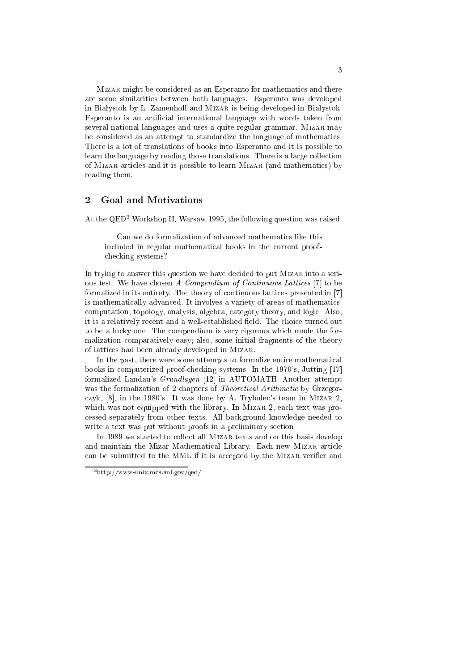Mizar might be onsidered as an Esperanto for mathemati
s and there are some similarities between both languages. Esperanto was developed in Białystok by L. Zamenhoff and MIZAR is being developed in Białystok. Esperanto is an artificial international language with words taken from several national languages and uses a quite regular grammar. MIZAR may be onsidered as an attempt to standardize the language of mathemati
s. There is a lot of translations of books into Esperanto and it is possible to learn the language by reading those translations. There is a large collection of Mizar arti
les and it is possible to learn Mizar (and mathemati
s) by reading them.

#### $\overline{2}$ Goal and Motivations

At the QED<sup>3</sup> Workshop II, Warsaw 1995, the following question was raised:

Can we do formalization of advanced mathematics like this included in regular mathematical books in the current proofhe
king systems?

In trying to answer this question we have decided to put MIZAR into a serious test. We have chosen A Compendium of Continuous Lattices [7] to be formalized in its entirety. The theory of continuous lattices presented in [7] is mathemati
ally advan
ed. It involves a variety of areas of mathemati
s: computation, topology, analysis, algebra, category theory, and logic. Also, it is a relatively recent and a well-established field. The choice turned out to be a lucky one. The compendium is very rigorous which made the formalization omparatively easy; also, some initial fragments of the theory of latti
es had been already developed in Mizar.

In the past, there were some attempts to formalize entire mathematical books in computerized proof-checking systems. In the 1970's, Jutting [17] formalized Landau's *Grundlagen* [12] in AUTOMATH. Another attempt was the formalization of 2 chapters of *Theoretical Arithmetic* by Grzegorczyk,  $[8]$ , in the 1980's. It was done by A. Trybulec's team in MIZAR 2, which was not equipped with the library. In MIZAR 2, each text was proessed separately from other texts. All ba
kground knowledge needed to write a text was put without proofs in a preliminary section.

In 1989 we started to collect all MIZAR texts and on this basis develop and maintain the Mizar Mathematical Library. Each new MIZAR article can be submitted to the MML if it is accepted by the MIZAR verifier and

<sup>3</sup> http://www-unix.m
s.anl.gov/qed/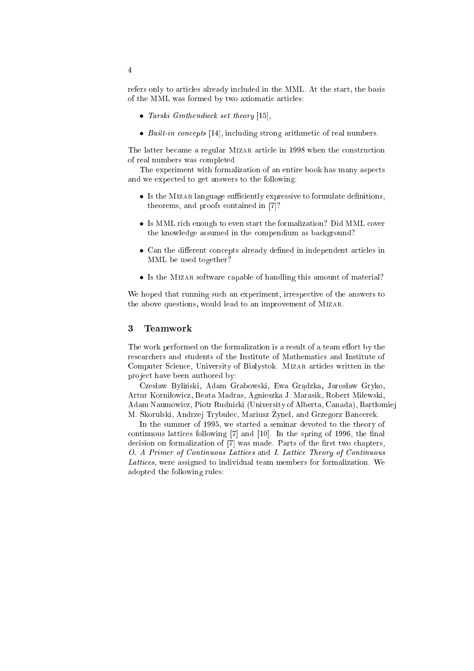refers only to articles already included in the MML. At the start, the basis of the MML was formed by two axiomati arti
les:

- Tarski Grothendieck set theory  $[15]$ ,
- $\bullet$  Built-in concepts [14], including strong arithmetic of real numbers.

The latter became a regular MIZAR article in 1998 when the construction of real numbers was ompleted.

The experiment with formalization of an entire book has many aspe
ts and we expe
ted to get answers to the following:

- Is the MIZAR language sufficiently expressive to formulate definitions, theorems, and proofs contained in [7]?
- Is MML rich enough to even start the formalization? Did MML cover the knowledge assumed in the ompendium as ba
kground?
- Can the different concepts already defined in independent articles in MML be used together?
- Is the MIZAR software capable of handling this amount of material?

We hoped that running such an experiment, irrespective of the answers to the above questions, would lead to an improvement of Mizar.

#### 3 **Teamwork**

The work performed on the formalization is a result of a team effort by the resear
hers and students of the Institute of Mathemati
s and Institute of Computer Science, University of Białystok. MIZAR articles written in the project have been authored by:

Czesław Byliński, Adam Grabowski, Ewa Grądzka, Jarosław Gryko, Artur Korniłowicz, Beata Madras, Agnieszka J. Marasik, Robert Milewski, Adam Naumowicz, Piotr Rudnicki (University of Alberta, Canada), Bartłomiej M. Skorulski, Andrzej Trybule
, Mariusz Zynel, \_ and Grzegorz Ban
erek.

In the summer of 1995, we started a seminar devoted to the theory of continuous lattices following  $[7]$  and  $[10]$ . In the spring of 1996, the final decision on formalization of [7] was made. Parts of the first two chapters, O. A Primer of Continuous Lattices and I. Lattice Theory of Continuous Latti
es, were assigned to individual team members for formalization. We adopted the following rules: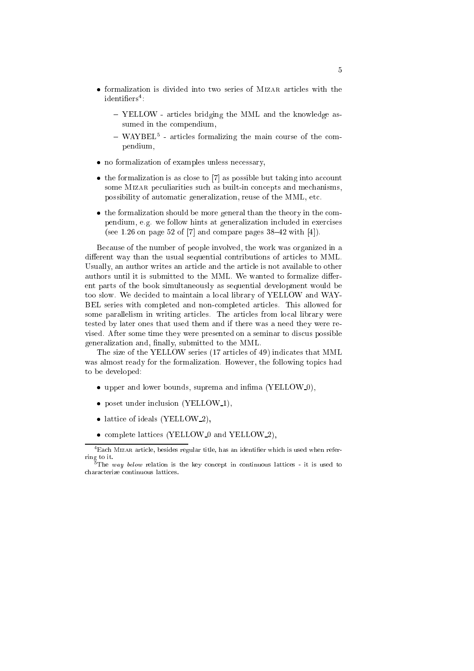- formalization is divided into two series of MIZAR articles with the rdentiners :
	- ${\sim}$  1 ELLOW articles bridging the MIML and the Knowledge assumed in the compendium,
	- $-$  warper articles formalizing the main course of the compendium,
- no formalization of examples unless necessary,
- $\bullet$  the formalization is as close to [7] as possible but taking into account some MIZAR peculiarities such as built-in concepts and mechanisms, possibility of automati generalization, reuse of the MML, et
.
- the formalization should be more general than the theory in the compendium, e.g. we follow hints at generalization included in exercises (see 1.26 on page 52 of  $[7]$  and compare pages 38-42 with  $[4]$ ).

Be
ause of the number of people involved, the work was organized in a different way than the usual sequential contributions of articles to MML. Usually, an author writes an article and the article is not available to other authors until it is submitted to the MML. We wanted to formalize different parts of the book simultaneously as sequential development would be too slow. We decided to maintain a local library of YELLOW and WAY-BEL series with ompleted and nonompleted arti
les. This allowed for some parallelism in writing articles. The articles from local library were tested by later ones that used them and if there was a need they were revised. After some time they were presented on a seminar to dis
us possible generalization and, finally, submitted to the MML.

The size of the YELLOW series (17 articles of 49) indicates that MML was almost ready for the formalization. However, the following topics had to be developed:

- $\bullet$  upper and lower bounds, suprema and infima (YELLOW<sub>-0</sub>),
- poset under inclusion (YELLOW<sub>-1</sub>),
- lattice of ideals (YELLOW<sub>2</sub>),
- $\bullet$  complete lattices (YELLOW<sub>-0</sub> and YELLOW<sub>-2</sub>),

<sup>-</sup>Each Mizar article, besides regular title, has an identifier which is used when referring to it.

 $5$ The way below relation is the key concept in continuous lattices - it is used to hara
terize ontinuous latti
es.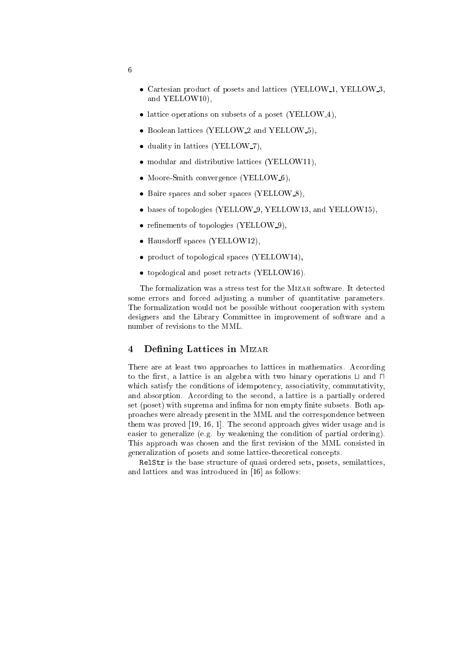- Cartesian product of posets and lattices (YELLOW<sub>-1</sub>, YELLOW<sub>-3</sub>, and YELLOW10),
- lattice operations on subsets of a poset (YELLOW<sub>-4</sub>),
- Boolean lattices (YELLOW<sub>2</sub> and YELLOW<sub>-5</sub>).
- duality in lattices (YELLOW<sub>-7</sub>),
- modular and distributive lattices (YELLOW11),
- Moore-Smith convergence (YELLOW-6),
- Baire spaces and sober spaces (YELLOW\_8),
- bases of topologies (YELLOW<sub>-9</sub>, YELLOW13, and YELLOW15),
- $\bullet$  refinements of topologies (YELLOW<sub>-9</sub>),
- $\bullet$  Hausdorff spaces (YELLOW12),
- product of topological spaces (YELLOW14),
- topological and poset retracts (YELLOW16).

The formalization was a stress test for the MIZAR software. It detected some errors and for
ed adjusting a number of quantitative parameters. The formalization would not be possible without ooperation with system designers and the Library Committee in improvement of software and a number of revisions to the MML.

#### 4Defining Lattices in MIZAR

There are at least two approaches to lattices in mathematics. According to the first, a lattice is an algebra with two binary operations  $\sqcup$  and  $\sqcap$ which satisfy the conditions of idempotency, associativity, commutativity, and absorption. According to the second, a lattice is a partially ordered set (poset) with suprema and infima for non empty finite subsets. Both approa
hes were already present in the MML and the orresponden
e between them was proved  $[19, 16, 1]$ . The second approach gives wider usage and is easier to generalize (e.g. by weakening the ondition of partial ordering). This approach was chosen and the first revision of the MML consisted in generalization of posets and some lattice-theoretical concepts.

RelStr is the base stru
ture of quasi ordered sets, posets, semilatti
es, and lattices and was introduced in  $[16]$  as follows: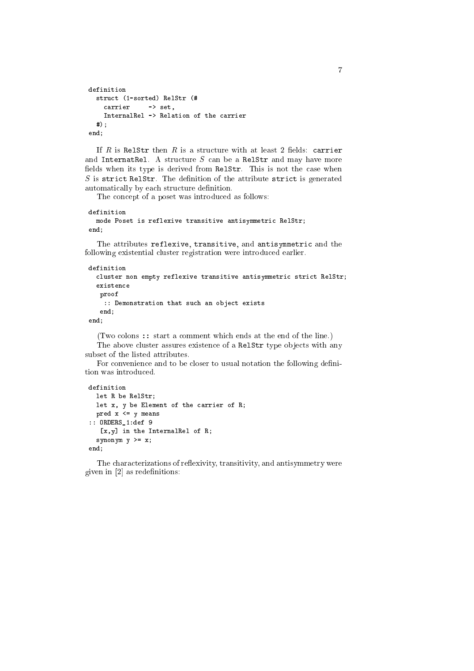```
definition
 stru
t (1-sorted) RelStr (#

arrier -> set,
   InternalRel -> Relation of the 
arrier
 #);
end;
```
If R is RelStr then R is a structure with at least 2 fields: carrier and InternatRel. A structure  $S$  can be a RelStr and may have more fields when its type is derived from Re1Str. This is not the case when  $S$  is strict RelStr. The definition of the attribute strict is generated automatically by each structure definition.

The concept of a poset was introduced as follows:

```
definition
 mode Poset is reflexive transitive antisymmetri
 RelStr;
end;
```
The attributes reflexive, transitive, and antisymmetric and the following existential luster registration were introdu
ed earlier.

```
definition
 cluster non empty reflexive transitive antisymmetric strict RelStr;
 existen
e
  proof
   :: Demonstration that su
h an obje
t exists
  end:- - - -end;
```
(Two olons :: start a omment whi
h ends at the end of the line.) The above cluster assures existence of a RelStr type objects with any subset of the listed attributes.

For convenience and to be closer to usual notation the following definition was introduced.

```
definition
  let R be RelStr;
  let x, y be Element of the 
arrier of R;
 pred x \leq y means
:: ORDERS_1:def 9
   [x, y] in the InternalRel of R;
  synonym y >= x;
end;
```
The characterizations of reflexivity, transitivity, and antisymmetry were given in  $[2]$  as redefinitions: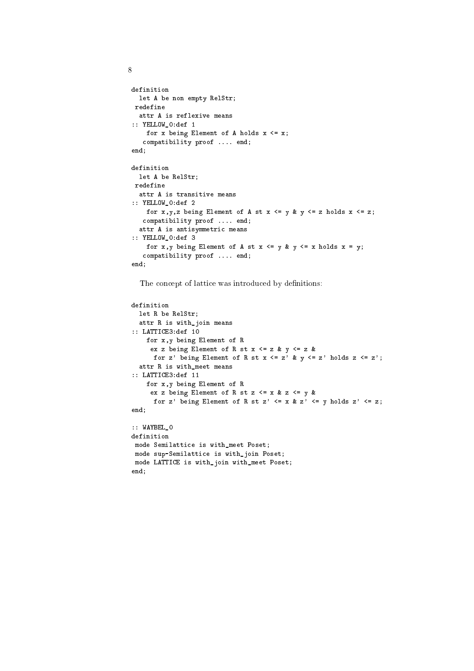```
definition
 let A be non empty RelStr;
redefine
 attr A is reflexive means
:: YELLOW_0:def 1
   for x being Element of A holds x \leq x;

ompatibility proof .... end;
end;
definition
 let A be RelStr;
redefine
 attr A is transitive means
:: YELLOW_0:def 2
   for x, y, z being Element of A st x \le y & y \le z holds x \le z;

ompatibility proof .... end;
 attr A is antisymmetri
 means
:: YELLOW_0:def 3
   for x, y being Element of A st x \le y & y \le x holds x = y;

ompatibility proof .... end;
end;
```
The concept of lattice was introduced by definitions:

```
definition
  let R be RelStr;
  attr R is with_join means
:: LATTICE3:def 10
     for x,y being Element of R
       ex z being Element of R st x \leq z & y \leq z &
        for z' being Element of R st x \leq z' & y \leq z' holds z \leq z';
  attr R is with_meet means
:: LATTICE3:def 11
     for x,y being Element of R
       ex z being Element of R st z \leq x \leq z \leq y \leq xfor z' being Element of R st z' \leq x \& z' \leq y holds z' \leq z;
end:
end; and the contract of the contract of the contract of the contract of the contract of the contract of the contract of the contract of the contract of the contract of the contract of the contract of the contract of the c
:: WAYBEL_0
definition
mode Semilatti
e is with_meet Poset;
 mode sup-Semilatti
e is with_join Poset;
mode LATTICE is with_join with_meet Poset;
end;
```

```
\mathcal{R}
```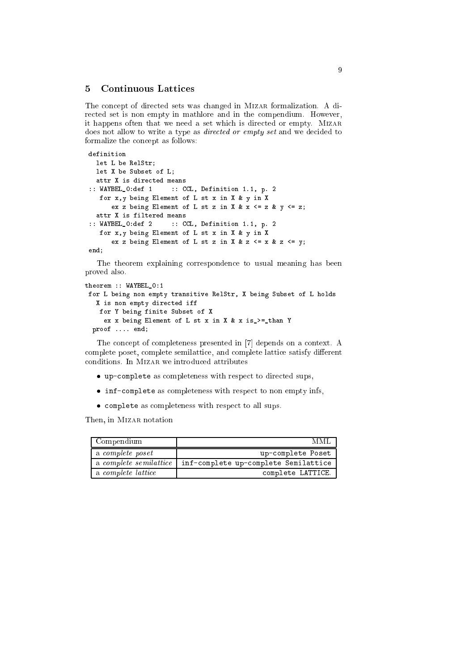### 5Continuous Latti
es

The concept of directed sets was changed in MIZAR formalization. A directed set is non empty in mathlore and in the compendium. However, it happens often that we need a set which is directed or empty. MIZAR does not allow to write a type as *directed or empty set* and we decided to formalize the on
ept as follows:

```
definition
 let L be RelStr;
 let X be Subset of L;
 attr X is directed means
:: WAYBEL_0:def 1 :: CCL, Definition 1.1, p. 2
  for x,y being Element of L st x in X & y in X
     ex z being Element of L st z in X & x \leq z & y \leq z;
 attr X is filtered means
:: WAYBEL_0:def 2 :: CCL, Definition 1.1, p. 2
   for x,y being Element of L st x in X & y in X
      ex z being Element of L st z in X & z \leq x & z \leq y;
end;
```
The theorem explaining orresponden
e to usual meaning has been proved also.

```
theorem :: WAYBEL_0:1
for L being non empty transitive RelStr, X being Subset of L holds
  X is non empty dire
ted iff
   for Y being finite Subset of X
    ex x being Element of L st x in X & x is_>=_than Y
 proof .... end;
```
The concept of completeness presented in [7] depends on a context. A complete poset, complete semilattice, and complete lattice satisfy different onditions. In Mizar we introdu
ed attributes

- up-complete as completeness with respect to directed sups,
- inf-complete as completeness with respect to non empty infs,
- complete as completeness with respect to all sups.

Then, in MIZAR notation

| Compendium                    | MMI                                  |
|-------------------------------|--------------------------------------|
| a <i>complete poset</i>       | up-complete Poset                    |
| a <i>complete semilattice</i> | inf-complete up-complete Semilattice |
| a complete lattice            | complete LATTICE.                    |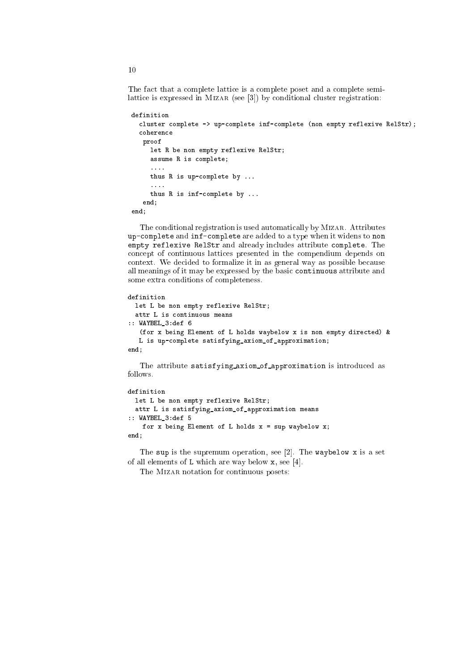The fa
t that a omplete latti
e is a omplete poset and a omplete semilattice is expressed in MIZAR (see  $[3]$ ) by conditional cluster registration:

```
definition
 cluster complete -> up-complete inf-complete (non empty reflexive RelStr);

oheren
e
  proof
     let R be non empty reflexive RelStr;
     assume R is 
omplete;
     \ldotsthus R is up-
omplete by ...
     ....
    thus R is inf-
omplete by ...
  end;
end;
```
The conditional registration is used automatically by MIZAR. Attributes upomplete and infomplete are added to a type when it widens to non empty reflexive RelStr and already in
ludes attribute omplete. The on
ept of ontinuous latti
es presented in the ompendium depends on context. We decided to formalize it in as general way as possible because all meanings of it may be expressed by the basic continuous attribute and some extra onditions of ompleteness.

```
definition
  let L be non empty reflexive RelStr;
  attr L is 
ontinuous means
:: WAYBEL_3:def 6
   (for x being Element of L holds waybelow x is non empty directed) &
   L is up-
omplete satisfying_axiom_of_approximation;
end;
```
The attribute satisfying axiom of approximation is introdu
ed as follows.

```
definition
  let L be non empty reflexive RelStr;
  attr L is satisfying_axiom_of_approximation means
:: WAYBEL_3:def 5
    for x being Element of L holds x = sup waybelow x;
end;
```
The sup is the supremum operation, see [2]. The waybelow x is a set of all elements of  $L$  which are way below  $x$ , see [4].

The MIZAR notation for continuous posets: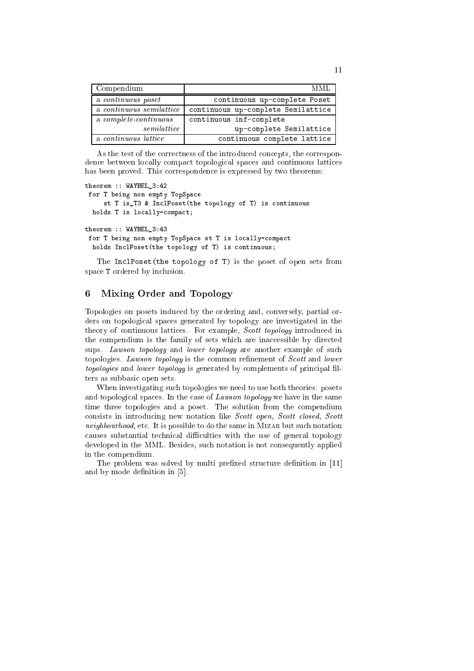| Compendium                   | MML.                               |
|------------------------------|------------------------------------|
| a continuous poset           | continuous up-complete Poset       |
| a continuous semilattice     | continuous up-complete Semilattice |
| a <i>complete-continuous</i> | continuous inf-complete            |
| semilattice                  | up-complete Semilattice            |
| a continuous lattice         | continuous complete lattice        |

As the test of the correctness of the introduced concepts, the correspondence between locally compact topological spaces and continuous lattices has been proved. This orresponden
e is expressed by two theorems:

```
theorem :: WAYBEL_3:42
for T being non empty TopSpa
e
    st T is_T3 & In
lPoset(the topology of T) is 
ontinuous
 holds T is locally-compact;
theorem :: WAYBEL_3:43
for T being non empty TopSpace st T is locally-compact
 holds InclPoset (the topology of T) is continuous;
```
The InclPoset(the topology of T) is the poset of open sets from spa
e T ordered by in
lusion.

# 6Mixing Order and Topology

Topologies on posets indu
ed by the ordering and, onversely, partial orders on topological spaces generated by topology are investigated in the theory of continuous lattices. For example, *Scott topology* introduced in the compendium is the family of sets which are inaccessible by directed sups. Lawson topology and lower topology are another example of such topologies. Lawson topology is the common refinement of Scott and lower topologies and lower topology is generated by complements of principal filters as subbasi open sets.

When investigating su
h topologies we need to use both theories: posets and topological spaces. In the case of *Lawson topology* we have in the same time three topologies and a poset. The solution from the ompendium consists in introducing new notation like Scott open, Scott closed, Scott neighbourhood, etc. It is possible to do the same in MIZAR but such notation causes substantial technical difficulties with the use of general topology developed in the MML. Besides, su
h notation is not onsequently applied in the ompendium.

The problem was solved by multi prefixed structure definition in [11] and by mode definition in  $[5]$ .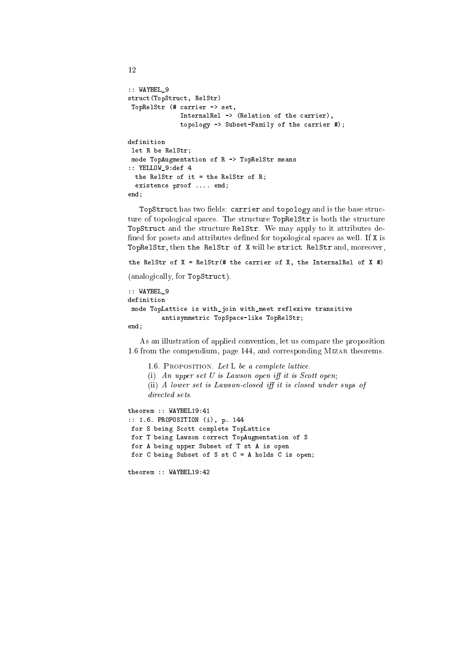```
:: WAYBEL_9
stru
t(TopStru
t, RelStr)
TopRelStr (# 
arrier -> set,
             InternalRel -> (Relation of the 
arrier),
              topology -> Subset-Family of the 
arrier #);
definition
let R be RelStr;
mode TopAugmentation of R -> TopRelStr means
:: YELLOW_9:def 4
 the RelStr of it = the RelStr of R;
  existen
e proof .... end;
end;
```
TopStruct has two fields: carrier and topology and is the base structure of topological spaces. The structure TopRe1Str is both the structure TopStruct and the structure RelStr. We may apply to it attributes defined for posets and attributes defined for topological spaces as well. If X is TopRelStr, then the RelStr of X will be strict RelStr and, moreover,

```
the RelStr of X = RelStr (# the carrier of X, the InternalRel of X #)
```
(analogically, for TopStruct).

```
:: WAYBEL_9
definition
 mode TopLatti
e is with_join with_meet reflexive transitive
         antisymmetri
 TopSpa
e-like TopRelStr;
end;
```
As an illustration of applied onvention, let us ompare the proposition 1.6 from the compendium, page 144, and corresponding MIZAR theorems.

```
1.6. PROPOSITION. Let L be a complete lattice.
      (i) An upper set U is Lawson open iff it is Scott open;
     (i) A lower set is Lawson-closed iff it is closed under sups of
theorem :: WAYBEL19:41
```

```
:: 1.6. PROPOSITION (i), p. 144
for S being Scott complete TopLattice
for T being Lawson 
orre
t TopAugmentation of S
for A being upper Subset of T st A is open
for C being Subset of S st C = A holds C is open;
```

```
theorem :: WAYBEL19:42
```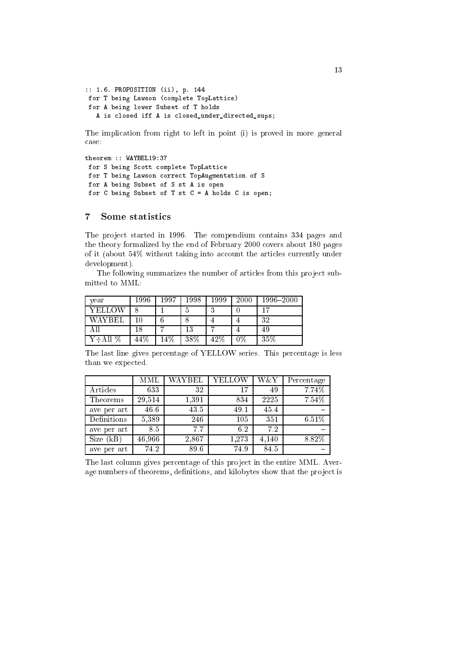```
:: 1.6. PROPOSITION (ii), p. 144
for T being Lawson (
omplete TopLatti
e)
for A being lower Subset of T holds
  A is closed iff A is closed_under_directed_sups;
```
The implication from right to left in point (i) is proved in more general ase:

```
theorem :: WAYBEL19:37
for S being Scott complete TopLattice
for T being Lawson correct TopAugmentation of S
for A being Subset of S st A is open
for C being Subset of T st C = A holds C is open;
```
# 7Some statisti
s

The project started in 1996. The compendium contains 334 pages and the theory formalized by the end of February 2000 overs about 180 pages of it (about 54% without taking into account the articles currently under development).

The following summarizes the number of articles from this project submitted to MML:

| vear       | 1996   | 1997  | 1998 | 1999   | 2000          | 1996-2000 |
|------------|--------|-------|------|--------|---------------|-----------|
| YELLOW     |        |       |      | ച      |               | 15        |
| WAYBEI.    |        |       |      |        |               | 32        |
|            | 18     |       | 13   | ,      |               | 49        |
| %<br>Y÷All | $44\%$ | $4\%$ | 38\% | $42\%$ | $\gamma_{\%}$ | $35\%$    |

The last line gives per
entage of YELLOW series. This per
entage is less than we expected.

|             | MML    | WAYBEL | YELLOW | W&Y   | Percentage |
|-------------|--------|--------|--------|-------|------------|
| Articles    | 633    | 32     | 17     | 49    | 7.74%      |
| Theorems    | 29,514 | 1,391  | 834    | 2225  | 7.54%      |
| ave per art | 46.6   | 43.5   | 49.1   | 45.4  |            |
| Definitions | 5,389  | 246    | 105    | 351   | 6.51%      |
| ave per art | 8.5    | 7.7    | 6.2    | 7.2   |            |
| Size (kB)   | 46,966 | 2,867  | 1,273  | 4,140 | 8.82%      |
| ave per art | 74.2   | 89.6   | 74.9   | 84.5  |            |

The last column gives percentage of this project in the entire MML. Average numbers of theorems, definitions, and kilobytes show that the project is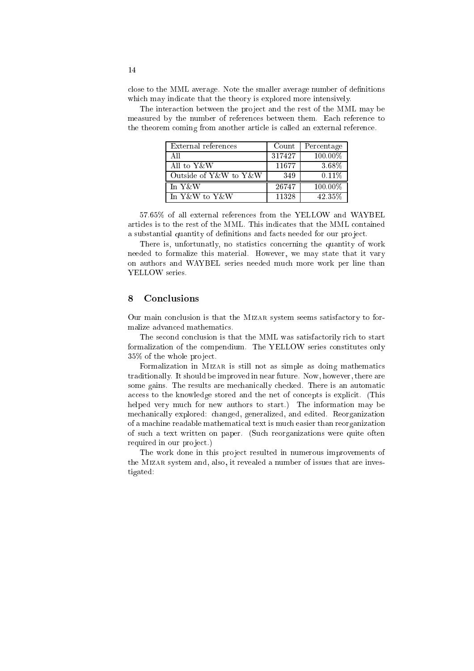close to the MML average. Note the smaller average number of definitions which may indicate that the theory is explored more intensively.

The interaction between the project and the rest of the MML may be measured by the number of references between them. Each reference to the theorem coming from another article is called an external reference.

| External references   | Count  | Percentage |
|-----------------------|--------|------------|
| A 11                  | 317427 | 100.00%    |
| All to Y & W          | 11677  | 3.68%      |
| Outside of Y&W to Y&W | 349    | $0.11\%$   |
| In Y&W                | 26747  | 100.00%    |
| In Y&W to Y&W         | 11328  | 42.35%     |

57.65% of all external references from the YELLOW and WAYBEL 57.65% of all external referen
es from the YELLOW and WAYBEL articles is to the rest of the MML. This indicates that the MML contained a substantial quantity of definitions and facts needed for our project.

There is, unfortunatly, no statistics concerning the quantity of work needed to formalize this material. However, we may state that it vary on authors and WAYBEL series needed mu
h more work per line than YELLOW series.

#### 8**Conclusions**

Our main conclusion is that the MIZAR system seems satisfactory to formalize advan
ed mathemati
s.

The second conclusion is that the MML was satisfactorily rich to start formalization of the ompendium. The YELLOW series onstitutes only 35% of the whole project.

Formalization in MIZAR is still not as simple as doing mathematics traditionally. It should be improved in near future. Now, however, there are some gains. The results are mechanically checked. There is an automatic access to the knowledge stored and the net of concepts is explicit. (This helped very much for new authors to start.) The information may be me
hani
ally explored: hanged, generalized, and edited. Reorganization of a ma
hine readable mathemati
al text is mu
h easier than reorganization of su
h a text written on paper. (Su
h reorganizations were quite often required in our project.)

The work done in this project resulted in numerous improvements of the Mizar system and, also, it revealed a number of issues that are investigated: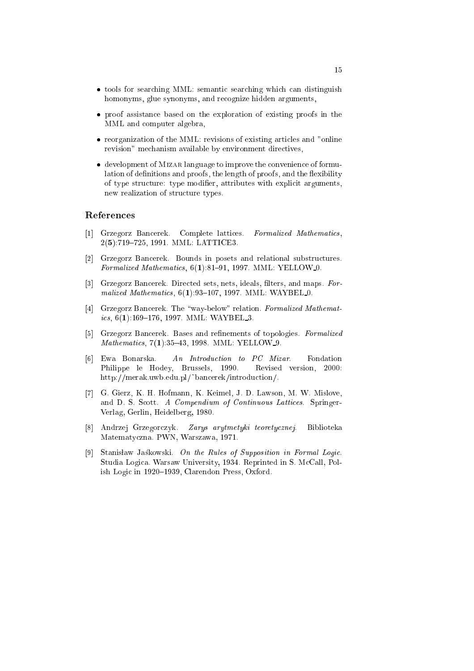- tools for searching MML: semantic searching which can distinguish homonyms, glue synonyms, and re
ognize hidden arguments,
- proof assistan
e based on the exploration of existing proofs in the MML and omputer algebra,
- reorganization of the MML: revisions of existing articles and "online" revision" mechanism available by environment directives,
- development of MIZAR language to improve the convenience of formulation of definitions and proofs, the length of proofs, and the flexibility of type structure: type modifier, attributes with explicit arguments, new realization of structure types.

- [1] Grzegorz Bancerek. Complete lattices. Formalized Mathematics, 2(5):719-725, 1991. MML: LATTICE3.
- [2] Grzegorz Bancerek. Bounds in posets and relational substructures. Formalized Mathematics,  $6(1):81-91$ , 1997. MML: YELLOW 0.
- [3] Grzegorz Bancerek. Directed sets, nets, ideals, filters, and maps. Formalized Mathematics, 6(1):93-107, 1997. MML: WAYBEL 0.
- [4] Grzegorz Bancerek. The "way-below" relation. Formalized Mathematics, 6(1):169-176, 1997. MML: WAYBEL\_3.
- [5] Grzegorz Bancerek. Bases and refinements of topologies. Formalized Mathematics, 7(1):35-43, 1998. MML: YELLOW 9.
- [6] Ewa Bonarska. An Introduction to  $PC$  Mizar. Fondation Philippe le Hodey, Brussels, 1990. Revised version, 2000: http://merak.uwb.edu.pl/~bancerek/introduction/.
- [7] G. Gierz, K. H. Hofmann, K. Keimel, J. D. Lawson, M. W. Mislove, and D. S. Scott. A Compendium of Continuous Lattices. Springer-Verlag, Gerlin, Heidelberg, 1980.
- [8] Andrzej Grzegorczyk. Zarys arytmetyki teoretycznej. Biblioteka Matematy
zna. PWN, Warszawa, 1971.
- [9] Stanisław Jaskowski. On the Rules of Supposition in Formal Logic. Studia Logi
a. Warsaw University, 1934. Reprinted in S. M
Call, Polish Logic in 1920-1939, Clarendon Press, Oxford.